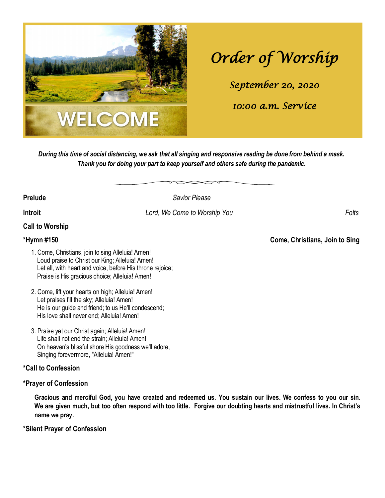

# *Order of Worship*

*September 20, 2020* 

*10:00 a.m. Service* 

*During this time of social distancing, we ask that all singing and responsive reading be done from behind a mask. Thank you for doing your part to keep yourself and others safe during the pandemic.*

**Prelude** *Savior Please*

**Introit** *Lord, We Come to Worship You**Folts* 

# **Call to Worship**

- 1. Come, Christians, join to sing Alleluia! Amen! Loud praise to Christ our King; Alleluia! Amen! Let all, with heart and voice, before His throne rejoice; Praise is His gracious choice; Alleluia! Amen!
- 2. Come, lift your hearts on high; Alleluia! Amen! Let praises fill the sky; Alleluia! Amen! He is our guide and friend; to us He'll condescend; His love shall never end; Alleluia! Amen!
- 3. Praise yet our Christ again; Alleluia! Amen! Life shall not end the strain; Alleluia! Amen! On heaven's blissful shore His goodness we'll adore, Singing forevermore, "Alleluia! Amen!"

# **\*Call to Confession**

### **\*Prayer of Confession**

**Gracious and merciful God, you have created and redeemed us. You sustain our lives. We confess to you our sin. We are given much, but too often respond with too little. Forgive our doubting hearts and mistrustful lives. In Christ's name we pray.**

### **\*Silent Prayer of Confession**

**\*Hymn #150 Come, Christians, Join to Sing**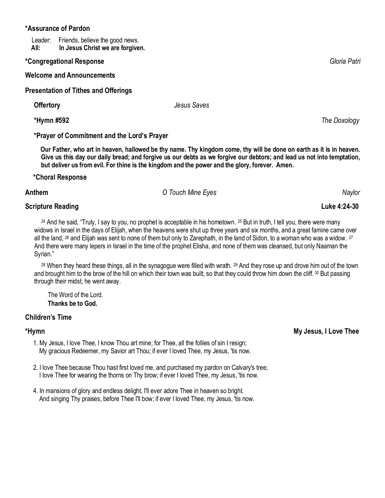### **\*Assurance of Pardon**

Leader: Friends, believe the good news.  **All: In Jesus Christ we are forgiven.**

#### **\*Congregational Response** *Gloria Patri*

**Welcome and Announcements**

**Presentation of Tithes and Offerings** 

 **Offertory** *Jesus Saves* 

 **\*Hymn #592** *The Doxology*

# **\*Prayer of Commitment and the Lord's Prayer**

 **Our Father, who art in heaven, hallowed be thy name. Thy kingdom come, thy will be done on earth as it is in heaven. Give us this day our daily bread; and forgive us our debts as we forgive our debtors; and lead us not into temptation, but deliver us from evil. For thine is the kingdom and the power and the glory, forever. Amen.** 

### **\*Choral Response**

**Anthem** *O Touch Mine Eyes Naylor*

# **Scripture Reading Luke 4:24-30**

<sup>24</sup> And he said, "Truly, I say to you, no prophet is acceptable in his hometown. <sup>25</sup> But in truth, I tell you, there were many widows in Israel in the days of Elijah, when the heavens were shut up three years and six months, and a great famine came over all the land, <sup>26</sup> and Elijah was sent to none of them but only to Zarephath, in the land of Sidon, to a woman who was a widow. <sup>27</sup> And there were many lepers in Israel in the time of the prophet Elisha, and none of them was cleansed, but only Naaman the Syrian."

<sup>28</sup> When they heard these things, all in the synagogue were filled with wrath. <sup>29</sup> And they rose up and drove him out of the town and brought him to the brow of the hill on which their town was built, so that they could throw him down the cliff. <sup>30</sup> But passing through their midst, he went away.

The Word of the Lord. **Thanks be to God.**

# **Children's Time**

- 1. My Jesus, I love Thee, I know Thou art mine; for Thee, all the follies of sin I resign; My gracious Redeemer, my Savior art Thou; if ever I loved Thee, my Jesus, 'tis now.
- 2. I love Thee because Thou hast first loved me, and purchased my pardon on Calvary's tree; I love Thee for wearing the thorns on Thy brow; if ever I loved Thee, my Jesus, 'tis now.
- 4. In mansions of glory and endless delight, I'll ever adore Thee in heaven so bright. And singing Thy praises, before Thee I'll bow; if ever I loved Thee, my Jesus, 'tis now.

**\*Hymn My Jesus, I Love Thee**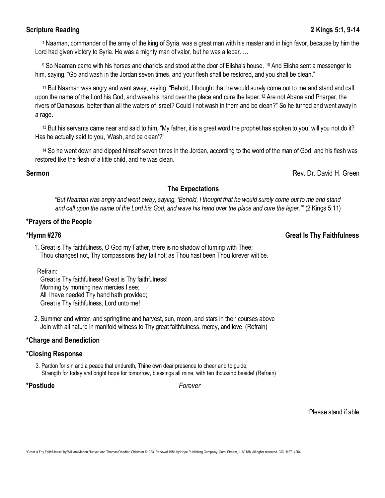### **Scripture Reading 2 Kings 5:1, 9-14**

<sup>1</sup> Naaman, commander of the army of the king of Syria, was a great man with his master and in high favor, because by him the Lord had given victory to Syria. He was a mighty man of valor, but he was a leper. …

9 So Naaman came with his horses and chariots and stood at the door of Elisha's house. 10 And Elisha sent a messenger to him, saying, "Go and wash in the Jordan seven times, and your flesh shall be restored, and you shall be clean."

<sup>11</sup> But Naaman was angry and went away, saying, "Behold, I thought that he would surely come out to me and stand and call upon the name of the Lord his God, and wave his hand over the place and cure the leper. <sup>12</sup> Are not Abana and Pharpar, the rivers of Damascus, better than all the waters of Israel? Could I not wash in them and be clean?" So he turned and went away in a rage.

<sup>13</sup> But his servants came near and said to him, "My father, it is a great word the prophet has spoken to you; will you not do it? Has he actually said to you, 'Wash, and be clean'?"

<sup>14</sup> So he went down and dipped himself seven times in the Jordan, according to the word of the man of God, and his flesh was restored like the flesh of a little child, and he was clean.

**Sermon** Rev. Dr. David H. Green

# **The Expectations**

*"But Naaman was angry and went away, saying, 'Behold, I thought that he would surely come out to me and stand and call upon the name of the Lord his God, and wave his hand over the place and cure the leper.'"* (2 Kings 5:11)

### **\*Prayers of the People**

### **\*Hymn #276 Great Is Thy Faithfulness**

1. Great is Thy faithfulness, O God my Father, there is no shadow of turning with Thee; Thou changest not, Thy compassions they fail not; as Thou hast been Thou forever wilt be.

Refrain:

 Great is Thy faithfulness! Great is Thy faithfulness! Morning by morning new mercies I see; All I have needed Thy hand hath provided; Great is Thy faithfulness, Lord unto me!

2. Summer and winter, and springtime and harvest, sun, moon, and stars in their courses above Join with all nature in manifold witness to Thy great faithfulness, mercy, and love. (Refrain)

# **\*Charge and Benediction**

### **\*Closing Response**

3. Pardon for sin and a peace that endureth, Thine own dear presence to cheer and to guide; Strength for today and bright hope for tomorrow, blessings all mine, with ten thousand beside! (Refrain)

**\*Postlude** *Forever* 

\*Please stand if able.